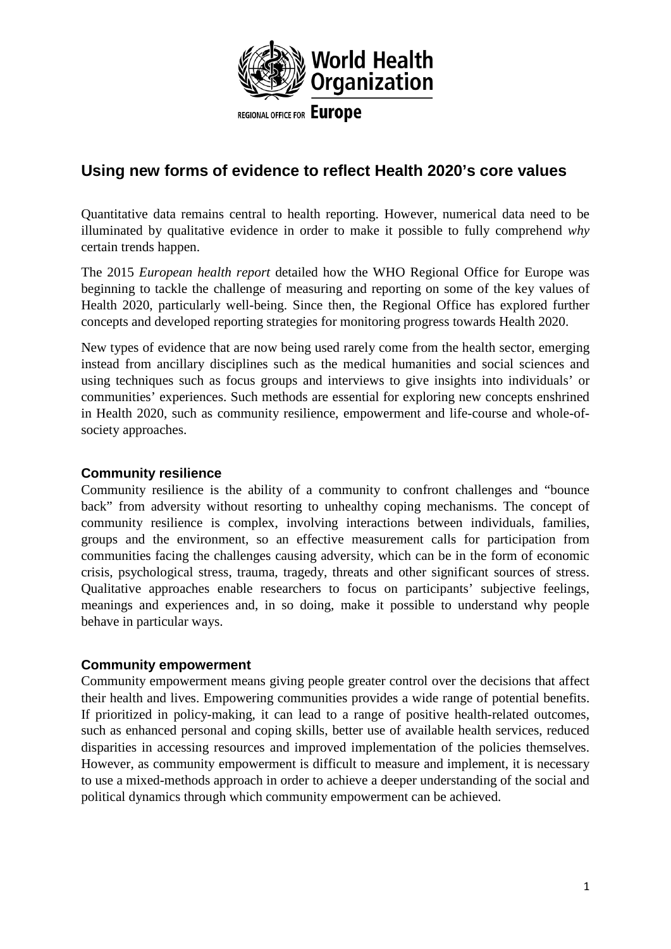

# **Using new forms of evidence to reflect Health 2020's core values**

Quantitative data remains central to health reporting. However, numerical data need to be illuminated by qualitative evidence in order to make it possible to fully comprehend *why*  certain trends happen.

The 2015 *European health report* detailed how the WHO Regional Office for Europe was beginning to tackle the challenge of measuring and reporting on some of the key values of Health 2020, particularly well-being. Since then, the Regional Office has explored further concepts and developed reporting strategies for monitoring progress towards Health 2020.

New types of evidence that are now being used rarely come from the health sector, emerging instead from ancillary disciplines such as the medical humanities and social sciences and using techniques such as focus groups and interviews to give insights into individuals' or communities' experiences. Such methods are essential for exploring new concepts enshrined in Health 2020, such as community resilience, empowerment and life-course and whole-ofsociety approaches.

#### **Community resilience**

Community resilience is the ability of a community to confront challenges and "bounce back" from adversity without resorting to unhealthy coping mechanisms. The concept of community resilience is complex, involving interactions between individuals, families, groups and the environment, so an effective measurement calls for participation from communities facing the challenges causing adversity, which can be in the form of economic crisis, psychological stress, trauma, tragedy, threats and other significant sources of stress. Qualitative approaches enable researchers to focus on participants' subjective feelings, meanings and experiences and, in so doing, make it possible to understand why people behave in particular ways.

# **Community empowerment**

Community empowerment means giving people greater control over the decisions that affect their health and lives. Empowering communities provides a wide range of potential benefits. If prioritized in policy-making, it can lead to a range of positive health-related outcomes, such as enhanced personal and coping skills, better use of available health services, reduced disparities in accessing resources and improved implementation of the policies themselves. However, as community empowerment is difficult to measure and implement, it is necessary to use a mixed-methods approach in order to achieve a deeper understanding of the social and political dynamics through which community empowerment can be achieved.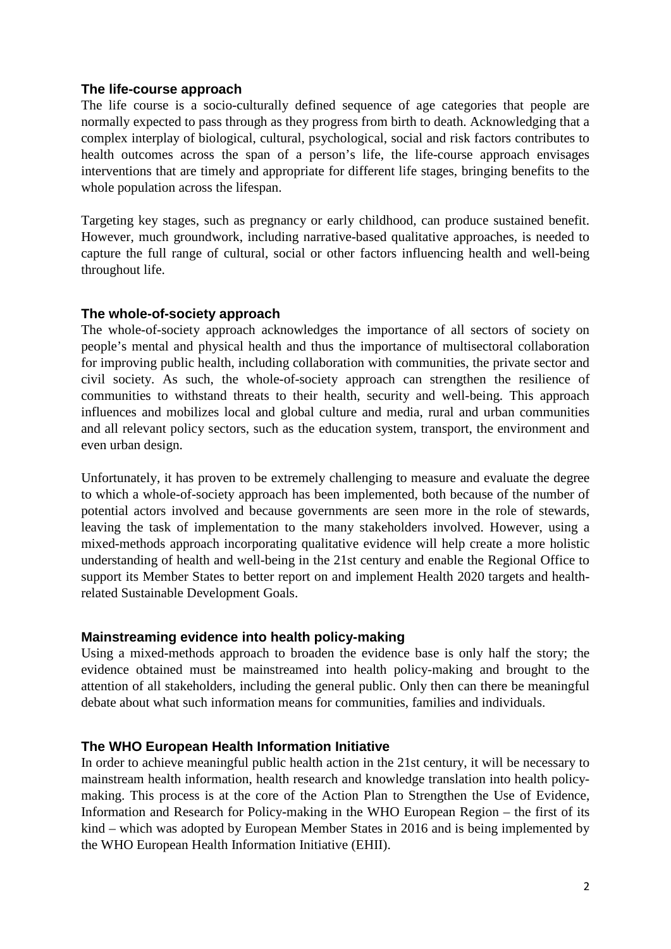#### **The life-course approach**

The life course is a socio-culturally defined sequence of age categories that people are normally expected to pass through as they progress from birth to death. Acknowledging that a complex interplay of biological, cultural, psychological, social and risk factors contributes to health outcomes across the span of a person's life, the life-course approach envisages interventions that are timely and appropriate for different life stages, bringing benefits to the whole population across the lifespan.

Targeting key stages, such as pregnancy or early childhood, can produce sustained benefit. However, much groundwork, including narrative-based qualitative approaches, is needed to capture the full range of cultural, social or other factors influencing health and well-being throughout life.

# **The whole-of-society approach**

The whole-of-society approach acknowledges the importance of all sectors of society on people's mental and physical health and thus the importance of multisectoral collaboration for improving public health, including collaboration with communities, the private sector and civil society. As such, the whole-of-society approach can strengthen the resilience of communities to withstand threats to their health, security and well-being. This approach influences and mobilizes local and global culture and media, rural and urban communities and all relevant policy sectors, such as the education system, transport, the environment and even urban design.

Unfortunately, it has proven to be extremely challenging to measure and evaluate the degree to which a whole-of-society approach has been implemented, both because of the number of potential actors involved and because governments are seen more in the role of stewards, leaving the task of implementation to the many stakeholders involved. However, using a mixed-methods approach incorporating qualitative evidence will help create a more holistic understanding of health and well-being in the 21st century and enable the Regional Office to support its Member States to better report on and implement Health 2020 targets and healthrelated Sustainable Development Goals.

# **Mainstreaming evidence into health policy-making**

Using a mixed-methods approach to broaden the evidence base is only half the story; the evidence obtained must be mainstreamed into health policy-making and brought to the attention of all stakeholders, including the general public. Only then can there be meaningful debate about what such information means for communities, families and individuals.

# **The WHO European Health Information Initiative**

In order to achieve meaningful public health action in the 21st century, it will be necessary to mainstream health information, health research and knowledge translation into health policymaking. This process is at the core of the Action Plan to Strengthen the Use of Evidence, Information and Research for Policy-making in the WHO European Region – the first of its kind – which was adopted by European Member States in 2016 and is being implemented by the WHO European Health Information Initiative (EHII).